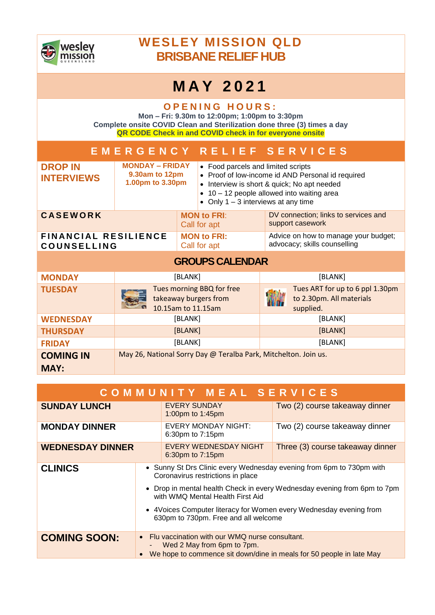

## **WESLEY MISSION QLD BRISBANE RELIEF HUB**

## **M A Y 2 0 2 1**

**OPENING HOURS: Mon – Fri: 9.30m to 12:00pm; 1:00pm to 3:30pm Complete onsite COVID Clean and Sterilization done three (3) times a day QR CODE Check in and COVID check in for everyone onsite**

|                                                   |                                                              | EMERGENCY RELIEF SERVICES                                                |                                                                                                                                                                                                                           |                                                                          |         |  |  |
|---------------------------------------------------|--------------------------------------------------------------|--------------------------------------------------------------------------|---------------------------------------------------------------------------------------------------------------------------------------------------------------------------------------------------------------------------|--------------------------------------------------------------------------|---------|--|--|
| <b>DROP IN</b><br><b>INTERVIEWS</b>               | <b>MONDAY – FRIDAY</b><br>9.30am to 12pm<br>1.00pm to 3.30pm |                                                                          | • Food parcels and limited scripts<br>• Proof of low-income id AND Personal id required<br>Interview is short & quick; No apt needed<br>10 - 12 people allowed into waiting area<br>• Only $1 - 3$ interviews at any time |                                                                          |         |  |  |
| <b>CASEWORK</b>                                   |                                                              |                                                                          | <b>MON to FRI:</b><br>Call for apt                                                                                                                                                                                        | DV connection; links to services and<br>support casework                 |         |  |  |
| <b>FINANCIAL RESILIENCE</b><br><b>COUNSELLING</b> |                                                              |                                                                          | <b>MON to FRI:</b><br>Call for apt                                                                                                                                                                                        | Advice on how to manage your budget;<br>advocacy; skills counselling     |         |  |  |
| <b>GROUPS CALENDAR</b>                            |                                                              |                                                                          |                                                                                                                                                                                                                           |                                                                          |         |  |  |
| <b>MONDAY</b>                                     | [BLANK]                                                      |                                                                          |                                                                                                                                                                                                                           | [BLANK]                                                                  |         |  |  |
| <b>TUESDAY</b>                                    |                                                              | Tues morning BBQ for free<br>takeaway burgers from<br>10.15am to 11.15am |                                                                                                                                                                                                                           | Tues ART for up to 6 ppl 1.30pm<br>to 2.30pm. All materials<br>supplied. |         |  |  |
| <b>WEDNESDAY</b>                                  |                                                              | [BLANK]                                                                  |                                                                                                                                                                                                                           | [BLANK]                                                                  |         |  |  |
| <b>THURSDAY</b>                                   | [BLANK]                                                      |                                                                          |                                                                                                                                                                                                                           | [BLANK]                                                                  |         |  |  |
| <b>FRIDAY</b>                                     | [BLANK]                                                      |                                                                          |                                                                                                                                                                                                                           |                                                                          | [BLANK] |  |  |
| <b>COMING IN</b><br><b>MAY:</b>                   |                                                              |                                                                          | May 26, National Sorry Day @ Teralba Park, Mitchelton. Join us.                                                                                                                                                           |                                                                          |         |  |  |

| COMMUNITY MEAL SERVICES |                                                                                                                                                                                                                                                                                                                                         |                                                |                                  |  |  |  |
|-------------------------|-----------------------------------------------------------------------------------------------------------------------------------------------------------------------------------------------------------------------------------------------------------------------------------------------------------------------------------------|------------------------------------------------|----------------------------------|--|--|--|
| <b>SUNDAY LUNCH</b>     |                                                                                                                                                                                                                                                                                                                                         | <b>EVERY SUNDAY</b><br>1:00pm to 1:45pm        | Two (2) course takeaway dinner   |  |  |  |
| <b>MONDAY DINNER</b>    |                                                                                                                                                                                                                                                                                                                                         | <b>EVERY MONDAY NIGHT:</b><br>6:30pm to 7:15pm | Two (2) course takeaway dinner   |  |  |  |
| <b>WEDNESDAY DINNER</b> |                                                                                                                                                                                                                                                                                                                                         | EVERY WEDNESDAY NIGHT<br>6:30pm to 7:15pm      | Three (3) course takeaway dinner |  |  |  |
| <b>CLINICS</b>          | • Sunny St Drs Clinic every Wednesday evening from 6pm to 730pm with<br>Coronavirus restrictions in place<br>• Drop in mental health Check in every Wednesday evening from 6pm to 7pm<br>with WMO Mental Health First Aid<br>• 4Voices Computer literacy for Women every Wednesday evening from<br>630pm to 730pm. Free and all welcome |                                                |                                  |  |  |  |
| <b>COMING SOON:</b>     | Flu vaccination with our WMQ nurse consultant.<br>Wed 2 May from 6pm to 7pm.<br>We hope to commence sit down/dine in meals for 50 people in late May                                                                                                                                                                                    |                                                |                                  |  |  |  |